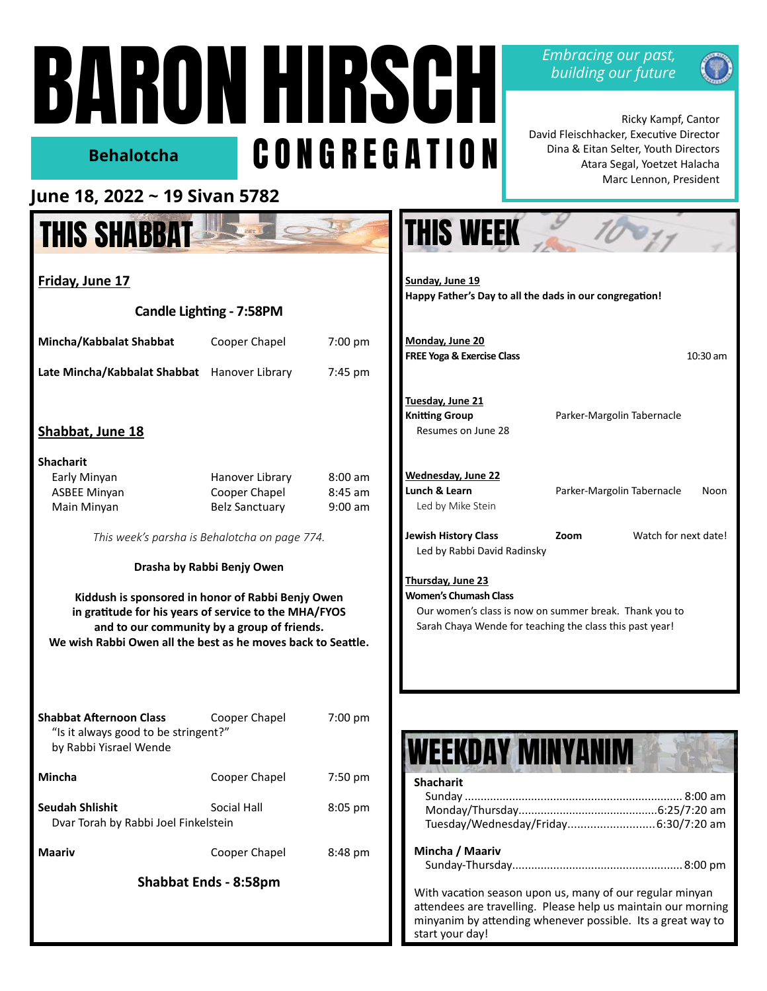# BARON HIRSCH CONGREGATION **Behalotcha**

*Embracing our past, building our future*



 Ricky Kampf, Cantor David Fleischhacker, Executive Director Dina & Eitan Selter, Youth Directors Atara Segal, Yoetzet Halacha Marc Lennon, President

## **June 18, 2022 ~ 19 Sivan 5782**

## THIS SHABBAT

| Friday, June 17                                                                                                                                                                                                           |                                  |                                |  |  |
|---------------------------------------------------------------------------------------------------------------------------------------------------------------------------------------------------------------------------|----------------------------------|--------------------------------|--|--|
| Candle Lighting - 7:58PM                                                                                                                                                                                                  |                                  |                                |  |  |
| Mincha/Kabbalat Shabbat                                                                                                                                                                                                   | Cooper Chapel                    | $7:00 \text{ pm}$              |  |  |
| Late Mincha/Kabbalat Shabbat Hanover Library                                                                                                                                                                              |                                  | 7:45 pm                        |  |  |
| Shabbat, June 18<br><b>Shacharit</b>                                                                                                                                                                                      |                                  |                                |  |  |
| Early Minyan<br><b>ASBEE Minyan</b>                                                                                                                                                                                       | Hanover Library<br>Cooper Chapel | $8:00 \text{ am}$<br>$8:45$ am |  |  |
| Main Minyan                                                                                                                                                                                                               | <b>Belz Sanctuary</b>            | $9:00$ am                      |  |  |
| This week's parsha is Behalotcha on page 774.                                                                                                                                                                             |                                  |                                |  |  |
|                                                                                                                                                                                                                           | Drasha by Rabbi Benjy Owen       |                                |  |  |
| Kiddush is sponsored in honor of Rabbi Benjy Owen<br>in gratitude for his years of service to the MHA/FYOS<br>and to our community by a group of friends.<br>We wish Rabbi Owen all the best as he moves back to Seattle. |                                  |                                |  |  |
| <b>Shabbat Afternoon Class</b><br>"Is it always good to be stringent?"<br>by Rabbi Yisrael Wende                                                                                                                          | Cooper Chapel                    | 7:00 pm                        |  |  |
| Mincha                                                                                                                                                                                                                    | Cooper Chapel                    | 7:50 pm                        |  |  |
| <b>Seudah Shlishit</b><br>Dvar Torah by Rabbi Joel Finkelstein                                                                                                                                                            | Social Hall                      | 8:05 pm                        |  |  |
| Maariv                                                                                                                                                                                                                    | Cooper Chapel                    | 8:48 pm                        |  |  |
| <b>Shabbat Ends - 8:58pm</b>                                                                                                                                                                                              |                                  |                                |  |  |
|                                                                                                                                                                                                                           |                                  |                                |  |  |

| Sunday, June 19<br>Happy Father's Day to all the dads in our congregation!                                                                                                     |                            |                      |          |
|--------------------------------------------------------------------------------------------------------------------------------------------------------------------------------|----------------------------|----------------------|----------|
| Monday, June 20<br><b>FREE Yoga &amp; Exercise Class</b>                                                                                                                       |                            |                      | 10:30 am |
| Tuesday, June 21<br><b>Knitting Group</b><br>Resumes on June 28                                                                                                                | Parker-Margolin Tabernacle |                      |          |
| Wednesday, June 22                                                                                                                                                             |                            |                      |          |
| Lunch & Learn<br>Led by Mike Stein                                                                                                                                             | Parker-Margolin Tabernacle |                      | Noon     |
| <b>Jewish History Class</b><br>Led by Rabbi David Radinsky                                                                                                                     | Zoom                       | Watch for next date! |          |
| <b>Thursday, June 23</b><br><b>Women's Chumash Class</b><br>Our women's class is now on summer break. Thank you to<br>Sarah Chaya Wende for teaching the class this past year! |                            |                      |          |
|                                                                                                                                                                                |                            |                      |          |

 $\mathcal{L}$ 

**THIS WEEK** 

| WEEKDAY MINYANIN                                                                                                                                                                                            |
|-------------------------------------------------------------------------------------------------------------------------------------------------------------------------------------------------------------|
| <b>Shacharit</b>                                                                                                                                                                                            |
|                                                                                                                                                                                                             |
|                                                                                                                                                                                                             |
| Tuesday/Wednesday/Friday 6:30/7:20 am                                                                                                                                                                       |
| Mincha / Maariv                                                                                                                                                                                             |
|                                                                                                                                                                                                             |
| With vacation season upon us, many of our regular minyan<br>attendees are travelling. Please help us maintain our morning<br>minyanim by attending whenever possible. Its a great way to<br>start your day! |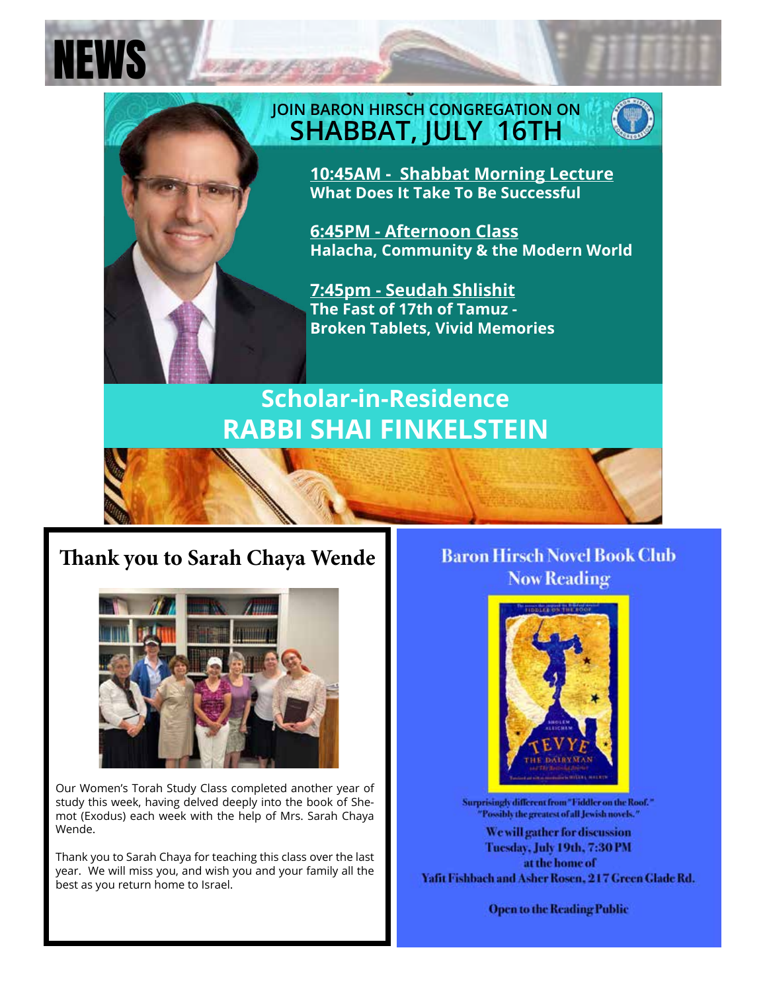

NEWS

## **JOIN BARON HIRSCH CONGREGATION ON SHABBAT, JULY 16TH**



**10:45AM - Shabbat Morning Lecture What Does It Take To Be Successful** 

**6:45PM - Afternoon Class Halacha, Community & the Modern World**

**7:45pm - Seudah Shlishit The Fast of 17th of Tamuz - Broken Tablets, Vivid Memories** 

## **Scholar-in-Residence RABBI SHAI FINKELSTEIN**

## **Thank you to Sarah Chaya Wende**



Our Women's Torah Study Class completed another year of study this week, having delved deeply into the book of Shemot (Exodus) each week with the help of Mrs. Sarah Chaya Wende.

Thank you to Sarah Chaya for teaching this class over the last year. We will miss you, and wish you and your family all the best as you return home to Israel.

### **Baron Hirsch Novel Book Club Now Reading**



Surprisingly different from "Fiddler on the Roof." "Possibly the greatest of all Jewish novels."

We will gather for discussion Tuesday, July 19th, 7:30 PM at the home of Yafit Fishbach and Asher Rosen, 217 Green Glade Rd.

**Open to the Reading Public**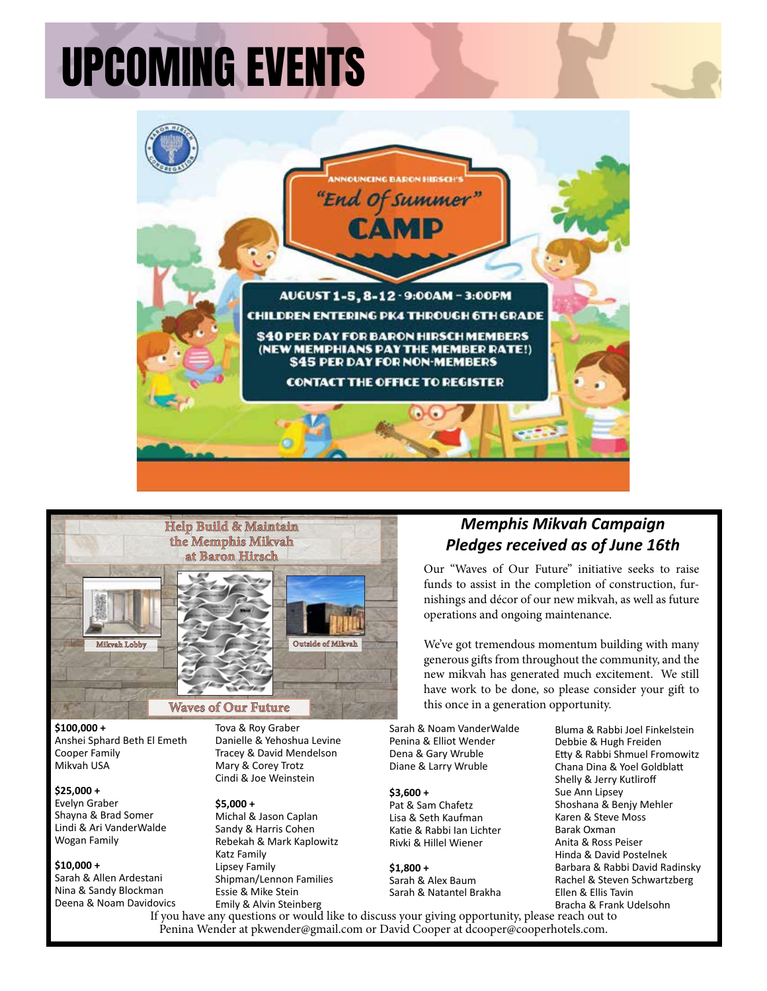# UPCOMING EVENTS





Anshei Sphard Beth El Emeth **\$100,000 +** Cooper Family Mikvah USA

#### **\$25,000 +**

Evelyn Graber Shayna & Brad Somer Lindi & Ari VanderWalde Wogan Family

#### **\$10,000 +**

Sarah & Allen Ardestani Nina & Sandy Blockman Deena & Noam Davidovics

**Danielle & Yehoshua Levine 13 inches 17 inches 21-23 inches** Tracey & David Mendelson **Gifts over 5 years** concept the concept of the concept of the paid in the paid in the concept of the concept of the concept of the concept of the concept of the concept of the concept of the concept of the concept of the Tova & Roy Graber Mary & Corey Trotz

#### **\$5,000 +**

Michal & Jason Caplan Sandy & Harris Cohen Rebekah & Mark Kaplowitz Katz Family Lipsey Family Shipman/Lennon Families Essie & Mike Stein Emily & Alvin Steinberg

### *Memphis Mikvah Campaign Pledges received as of June 16th*

Our "Waves of Our Future" initiative seeks to raise funds to assist in the completion of construction, furnishings and décor of our new mikvah, as well as future operations and ongoing maintenance.

We've got tremendous momentum building with many generous gifts from throughout the community, and the new mikvah has generated much excitement. We still have work to be done, so please consider your gift to this once in a generation opportunity.

Sarah & Noam VanderWalde Penina & Elliot Wender Dena & Gary Wruble Diane & Larry Wruble

#### **\$3,600 +**

Pat & Sam Chafetz Lisa & Seth Kaufman Katie & Rabbi Ian Lichter Rivki & Hillel Wiener

**\$1,800 +** Sarah & Alex Baum Sarah & Natantel Brakha Bluma & Rabbi Joel Finkelstein Debbie & Hugh Freiden Etty & Rabbi Shmuel Fromowitz Chana Dina & Yoel Goldblatt Shelly & Jerry Kutliroff Sue Ann Lipsey Shoshana & Benjy Mehler Karen & Steve Moss Barak Oxman Anita & Ross Peiser Hinda & David Postelnek Barbara & Rabbi David Radinsky Rachel & Steven Schwartzberg Ellen & Ellis Tavin Bracha & Frank Udelsohn

If you have any questions or would like to discuss your giving opportunity, please reach out to Penina Wender at pkwender@gmail.com or David Cooper at dcooper@cooperhotels.com.